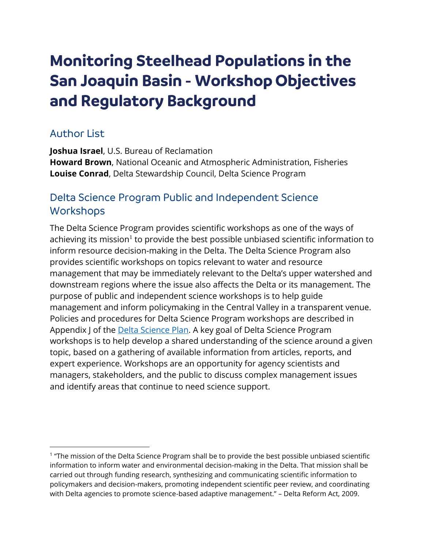# **Monitoring Steelhead Populations in the San Joaquin Basin - Workshop Objectives and Regulatory Background**

#### Author List

**Joshua Israel**, U.S. Bureau of Reclamation **Howard Brown**, National Oceanic and Atmospheric Administration, Fisheries **Louise Conrad**, Delta Stewardship Council, Delta Science Program

### Delta Science Program Public and Independent Science **Workshops**

The Delta Science Program provides scientific workshops as one of the ways of achieving its mission<sup>1</sup> to provide the best possible unbiased scientific information to inform resource decision-making in the Delta. The Delta Science Program also provides scientific workshops on topics relevant to water and resource management that may be immediately relevant to the Delta's upper watershed and downstream regions where the issue also affects the Delta or its management. The purpose of public and independent science workshops is to help guide management and inform policymaking in the Central Valley in a transparent venue. Policies and procedures for Delta Science Program workshops are described in Appendix J of the **Delta Science Plan**. A key goal of Delta Science Program workshops is to help develop a shared understanding of the science around a given topic, based on a gathering of available information from articles, reports, and expert experience. Workshops are an opportunity for agency scientists and managers, stakeholders, and the public to discuss complex management issues and identify areas that continue to need science support.

<sup>&</sup>lt;sup>1</sup> "The mission of the Delta Science Program shall be to provide the best possible unbiased scientific information to inform water and environmental decision-making in the Delta. That mission shall be carried out through funding research, synthesizing and communicating scientific information to policymakers and decision-makers, promoting independent scientific peer review, and coordinating with Delta agencies to promote science-based adaptive management." – Delta Reform Act, 2009.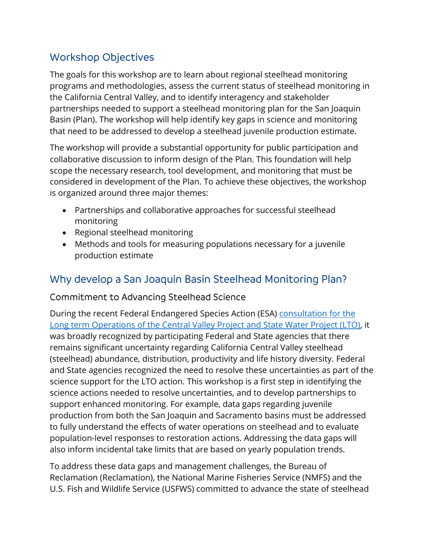## Workshop Objectives

The goals for this workshop are to learn about regional steelhead monitoring programs and methodologies, assess the current status of steelhead monitoring in the California Central Valley, and to identify interagency and stakeholder partnerships needed to support a steelhead monitoring plan for the San Joaquin Basin (Plan). The workshop will help identify key gaps in science and monitoring that need to be addressed to develop a steelhead juvenile production estimate.

The workshop will provide a substantial opportunity for public participation and collaborative discussion to inform design of the Plan. This foundation will help scope the necessary research, tool development, and monitoring that must be considered in development of the Plan. To achieve these objectives, the workshop is organized around three major themes:

- Partnerships and collaborative approaches for successful steelhead monitoring
- Regional steelhead monitoring
- Methods and tools for measuring populations necessary for a juvenile production estimate

## Why develop a San Joaquin Basin Steelhead Monitoring Plan?

#### Commitment to Advancing Steelhead Science

During the recent Federal Endangered Species Action (ESA) [consultation for the](https://www.usbr.gov/mp/nepa/includes/documentShow.php?Doc_ID=42324)  [Long term Operations of the Central Valley Project and State Water Project \(LTO\),](https://www.usbr.gov/mp/nepa/includes/documentShow.php?Doc_ID=42324) it was broadly recognized by participating Federal and State agencies that there remains significant uncertainty regarding California Central Valley steelhead (steelhead) abundance, distribution, productivity and life history diversity. Federal and State agencies recognized the need to resolve these uncertainties as part of the science support for the LTO action. This workshop is a first step in identifying the science actions needed to resolve uncertainties, and to develop partnerships to support enhanced monitoring. For example, data gaps regarding juvenile production from both the San Joaquin and Sacramento basins must be addressed to fully understand the effects of water operations on steelhead and to evaluate population-level responses to restoration actions. Addressing the data gaps will also inform incidental take limits that are based on yearly population trends.

To address these data gaps and management challenges, the Bureau of Reclamation (Reclamation), the National Marine Fisheries Service (NMFS) and the U.S. Fish and Wildlife Service (USFWS) committed to advance the state of steelhead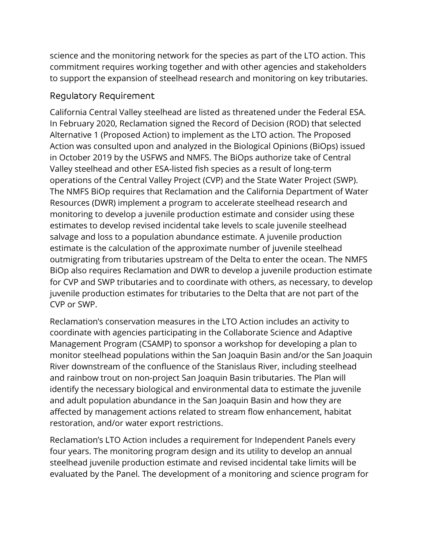science and the monitoring network for the species as part of the LTO action. This commitment requires working together and with other agencies and stakeholders to support the expansion of steelhead research and monitoring on key tributaries.

#### Regulatory Requirement

California Central Valley steelhead are listed as threatened under the Federal ESA. In February 2020, Reclamation signed the Record of Decision (ROD) that selected Alternative 1 (Proposed Action) to implement as the LTO action. The Proposed Action was consulted upon and analyzed in the Biological Opinions (BiOps) issued in October 2019 by the USFWS and NMFS. The BiOps authorize take of Central Valley steelhead and other ESA-listed fish species as a result of long-term operations of the Central Valley Project (CVP) and the State Water Project (SWP). The NMFS BiOp requires that Reclamation and the California Department of Water Resources (DWR) implement a program to accelerate steelhead research and monitoring to develop a juvenile production estimate and consider using these estimates to develop revised incidental take levels to scale juvenile steelhead salvage and loss to a population abundance estimate. A juvenile production estimate is the calculation of the approximate number of juvenile steelhead outmigrating from tributaries upstream of the Delta to enter the ocean. The NMFS BiOp also requires Reclamation and DWR to develop a juvenile production estimate for CVP and SWP tributaries and to coordinate with others, as necessary, to develop juvenile production estimates for tributaries to the Delta that are not part of the CVP or SWP.

Reclamation's conservation measures in the LTO Action includes an activity to coordinate with agencies participating in the Collaborate Science and Adaptive Management Program (CSAMP) to sponsor a workshop for developing a plan to monitor steelhead populations within the San Joaquin Basin and/or the San Joaquin River downstream of the confluence of the Stanislaus River, including steelhead and rainbow trout on non-project San Joaquin Basin tributaries. The Plan will identify the necessary biological and environmental data to estimate the juvenile and adult population abundance in the San Joaquin Basin and how they are affected by management actions related to stream flow enhancement, habitat restoration, and/or water export restrictions.

Reclamation's LTO Action includes a requirement for Independent Panels every four years. The monitoring program design and its utility to develop an annual steelhead juvenile production estimate and revised incidental take limits will be evaluated by the Panel. The development of a monitoring and science program for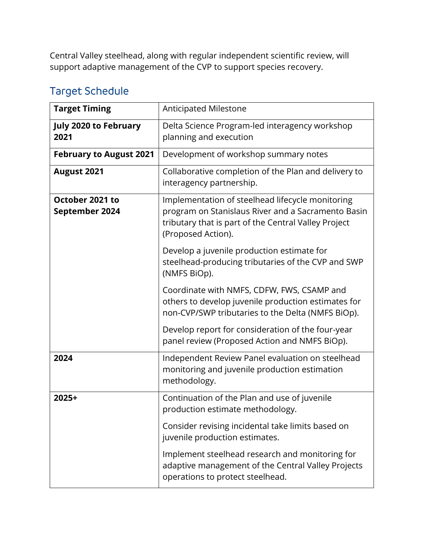Central Valley steelhead, along with regular independent scientific review, will support adaptive management of the CVP to support species recovery.

| <b>Target Timing</b>                 | <b>Anticipated Milestone</b>                                                                                                                                                         |
|--------------------------------------|--------------------------------------------------------------------------------------------------------------------------------------------------------------------------------------|
| <b>July 2020 to February</b><br>2021 | Delta Science Program-led interagency workshop<br>planning and execution                                                                                                             |
| <b>February to August 2021</b>       | Development of workshop summary notes                                                                                                                                                |
| <b>August 2021</b>                   | Collaborative completion of the Plan and delivery to<br>interagency partnership.                                                                                                     |
| October 2021 to<br>September 2024    | Implementation of steelhead lifecycle monitoring<br>program on Stanislaus River and a Sacramento Basin<br>tributary that is part of the Central Valley Project<br>(Proposed Action). |
|                                      | Develop a juvenile production estimate for<br>steelhead-producing tributaries of the CVP and SWP<br>(NMFS BiOp).                                                                     |
|                                      | Coordinate with NMFS, CDFW, FWS, CSAMP and<br>others to develop juvenile production estimates for<br>non-CVP/SWP tributaries to the Delta (NMFS BiOp).                               |
|                                      | Develop report for consideration of the four-year<br>panel review (Proposed Action and NMFS BiOp).                                                                                   |
| 2024                                 | Independent Review Panel evaluation on steelhead<br>monitoring and juvenile production estimation<br>methodology.                                                                    |
| 2025+                                | Continuation of the Plan and use of juvenile<br>production estimate methodology.                                                                                                     |
|                                      | Consider revising incidental take limits based on<br>juvenile production estimates.                                                                                                  |
|                                      | Implement steelhead research and monitoring for<br>adaptive management of the Central Valley Projects<br>operations to protect steelhead.                                            |

## Target Schedule